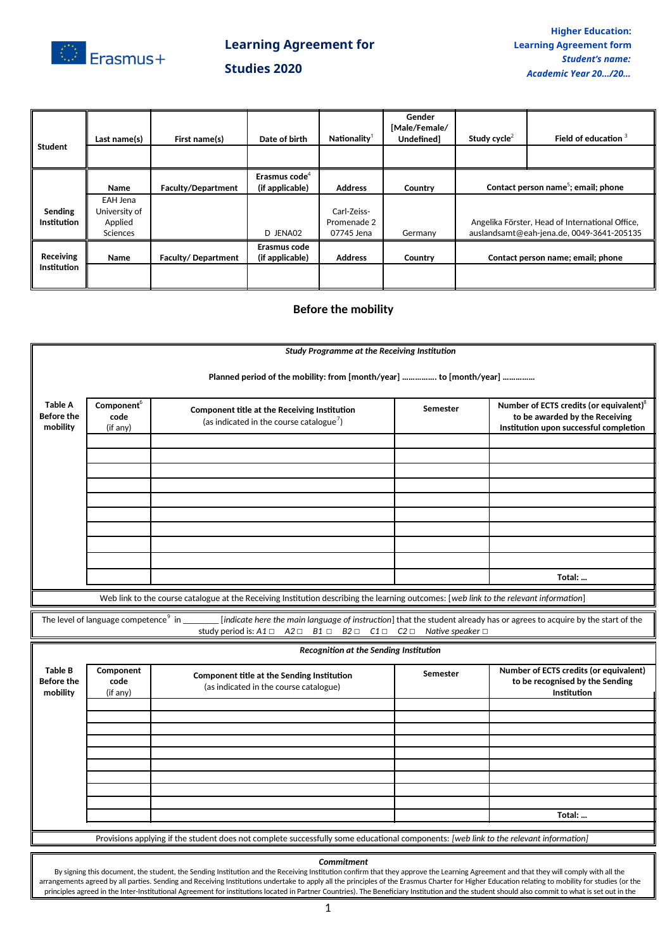

# **Learning Agreement for Studies 2020**

|                    | Last name(s)  | First name(s)             | Date of birth             | Nationality    | Gender<br>[Male/Female/<br><b>Undefinedl</b> | Study cycle <sup>2</sup>                        | Field of education 3                      |
|--------------------|---------------|---------------------------|---------------------------|----------------|----------------------------------------------|-------------------------------------------------|-------------------------------------------|
| Student            |               |                           |                           |                |                                              |                                                 |                                           |
|                    |               |                           | Erasmus code <sup>4</sup> |                |                                              |                                                 |                                           |
|                    | <b>Name</b>   | <b>Faculty/Department</b> | (if applicable)           | <b>Address</b> | Country                                      | Contact person name <sup>5</sup> ; email; phone |                                           |
|                    | EAH Jena      |                           |                           |                |                                              |                                                 |                                           |
| Sending            | University of |                           |                           | Carl-Zeiss-    |                                              | Angelika Förster, Head of International Office, |                                           |
| <b>Institution</b> | Applied       |                           |                           | Promenade 2    |                                              |                                                 |                                           |
|                    | Sciences      |                           | D JENA02                  | 07745 Jena     | Germany                                      |                                                 | auslandsamt@eah-jena.de, 0049-3641-205135 |
|                    |               |                           | Erasmus code              |                |                                              |                                                 |                                           |
| Receiving          | Name          | Faculty/Department        | (if applicable)           | <b>Address</b> | Country                                      |                                                 | Contact person name; email; phone         |
| <b>Institution</b> |               |                           |                           |                |                                              |                                                 |                                           |
|                    |               |                           |                           |                |                                              |                                                 |                                           |

## **Before the mobility**

|                                                 |                                                                                                                                                                                                                                                                                                                                                                                                                                                                                                                                                                                                            | <b>Study Programme at the Receiving Institution</b>                                                                                                               |                                                         |                                                                                                                                 |  |  |  |  |  |  |
|-------------------------------------------------|------------------------------------------------------------------------------------------------------------------------------------------------------------------------------------------------------------------------------------------------------------------------------------------------------------------------------------------------------------------------------------------------------------------------------------------------------------------------------------------------------------------------------------------------------------------------------------------------------------|-------------------------------------------------------------------------------------------------------------------------------------------------------------------|---------------------------------------------------------|---------------------------------------------------------------------------------------------------------------------------------|--|--|--|--|--|--|
|                                                 | Planned period of the mobility: from [month/year]  to [month/year]                                                                                                                                                                                                                                                                                                                                                                                                                                                                                                                                         |                                                                                                                                                                   |                                                         |                                                                                                                                 |  |  |  |  |  |  |
| <b>Table A</b><br><b>Before the</b><br>mobility | Component <sup>6</sup><br><b>Component title at the Receiving Institution</b><br>code<br>(as indicated in the course catalogue)<br>(if any)                                                                                                                                                                                                                                                                                                                                                                                                                                                                |                                                                                                                                                                   | Semester                                                | Number of ECTS credits (or equivalent) <sup>8</sup><br>to be awarded by the Receiving<br>Institution upon successful completion |  |  |  |  |  |  |
|                                                 |                                                                                                                                                                                                                                                                                                                                                                                                                                                                                                                                                                                                            |                                                                                                                                                                   |                                                         |                                                                                                                                 |  |  |  |  |  |  |
|                                                 |                                                                                                                                                                                                                                                                                                                                                                                                                                                                                                                                                                                                            |                                                                                                                                                                   |                                                         |                                                                                                                                 |  |  |  |  |  |  |
|                                                 |                                                                                                                                                                                                                                                                                                                                                                                                                                                                                                                                                                                                            |                                                                                                                                                                   |                                                         |                                                                                                                                 |  |  |  |  |  |  |
|                                                 |                                                                                                                                                                                                                                                                                                                                                                                                                                                                                                                                                                                                            |                                                                                                                                                                   |                                                         |                                                                                                                                 |  |  |  |  |  |  |
|                                                 |                                                                                                                                                                                                                                                                                                                                                                                                                                                                                                                                                                                                            |                                                                                                                                                                   |                                                         |                                                                                                                                 |  |  |  |  |  |  |
|                                                 |                                                                                                                                                                                                                                                                                                                                                                                                                                                                                                                                                                                                            |                                                                                                                                                                   |                                                         |                                                                                                                                 |  |  |  |  |  |  |
|                                                 |                                                                                                                                                                                                                                                                                                                                                                                                                                                                                                                                                                                                            |                                                                                                                                                                   |                                                         |                                                                                                                                 |  |  |  |  |  |  |
|                                                 |                                                                                                                                                                                                                                                                                                                                                                                                                                                                                                                                                                                                            |                                                                                                                                                                   |                                                         |                                                                                                                                 |  |  |  |  |  |  |
|                                                 |                                                                                                                                                                                                                                                                                                                                                                                                                                                                                                                                                                                                            |                                                                                                                                                                   |                                                         | Total:                                                                                                                          |  |  |  |  |  |  |
|                                                 | Web link to the course catalogue at the Receiving Institution describing the learning outcomes: [web link to the relevant information]                                                                                                                                                                                                                                                                                                                                                                                                                                                                     |                                                                                                                                                                   |                                                         |                                                                                                                                 |  |  |  |  |  |  |
|                                                 | The level of language competence <sup>9</sup> in                                                                                                                                                                                                                                                                                                                                                                                                                                                                                                                                                           | [indicate here the main language of instruction] that the student already has or agrees to acquire by the start of the<br>study period is: $A1 \Box$<br>$A2 \Box$ | $B1 \Box B2 \Box C1 \Box C2 \Box$ Native speaker $\Box$ |                                                                                                                                 |  |  |  |  |  |  |
|                                                 |                                                                                                                                                                                                                                                                                                                                                                                                                                                                                                                                                                                                            | Recognition at the Sending Institution                                                                                                                            |                                                         |                                                                                                                                 |  |  |  |  |  |  |
| <b>Table B</b><br>Before the<br>mobility        | Component<br>code<br>(if any)                                                                                                                                                                                                                                                                                                                                                                                                                                                                                                                                                                              | <b>Component title at the Sending Institution</b><br>(as indicated in the course catalogue)                                                                       | Semester                                                | Number of ECTS credits (or equivalent)<br>to be recognised by the Sending<br>Institution                                        |  |  |  |  |  |  |
|                                                 |                                                                                                                                                                                                                                                                                                                                                                                                                                                                                                                                                                                                            |                                                                                                                                                                   |                                                         |                                                                                                                                 |  |  |  |  |  |  |
|                                                 |                                                                                                                                                                                                                                                                                                                                                                                                                                                                                                                                                                                                            |                                                                                                                                                                   |                                                         |                                                                                                                                 |  |  |  |  |  |  |
|                                                 |                                                                                                                                                                                                                                                                                                                                                                                                                                                                                                                                                                                                            |                                                                                                                                                                   |                                                         |                                                                                                                                 |  |  |  |  |  |  |
|                                                 |                                                                                                                                                                                                                                                                                                                                                                                                                                                                                                                                                                                                            |                                                                                                                                                                   |                                                         |                                                                                                                                 |  |  |  |  |  |  |
|                                                 |                                                                                                                                                                                                                                                                                                                                                                                                                                                                                                                                                                                                            |                                                                                                                                                                   |                                                         |                                                                                                                                 |  |  |  |  |  |  |
|                                                 |                                                                                                                                                                                                                                                                                                                                                                                                                                                                                                                                                                                                            |                                                                                                                                                                   |                                                         |                                                                                                                                 |  |  |  |  |  |  |
|                                                 |                                                                                                                                                                                                                                                                                                                                                                                                                                                                                                                                                                                                            |                                                                                                                                                                   |                                                         |                                                                                                                                 |  |  |  |  |  |  |
|                                                 | Total:                                                                                                                                                                                                                                                                                                                                                                                                                                                                                                                                                                                                     |                                                                                                                                                                   |                                                         |                                                                                                                                 |  |  |  |  |  |  |
|                                                 |                                                                                                                                                                                                                                                                                                                                                                                                                                                                                                                                                                                                            | Provisions applying if the student does not complete successfully some educational components: [web link to the relevant information]                             |                                                         |                                                                                                                                 |  |  |  |  |  |  |
|                                                 |                                                                                                                                                                                                                                                                                                                                                                                                                                                                                                                                                                                                            |                                                                                                                                                                   |                                                         |                                                                                                                                 |  |  |  |  |  |  |
|                                                 | Commitment<br>By signing this document, the student, the Sending Institution and the Receiving Institution confirm that they approve the Learning Agreement and that they will comply with all the<br>arrangements agreed by all parties. Sending and Receiving Institutions undertake to apply all the principles of the Erasmus Charter for Higher Education relating to mobility for studies (or the<br>principles agreed in the Inter-Institutional Agreement for institutions located in Partner Countries). The Beneficiary Institution and the student should also commit to what is set out in the |                                                                                                                                                                   |                                                         |                                                                                                                                 |  |  |  |  |  |  |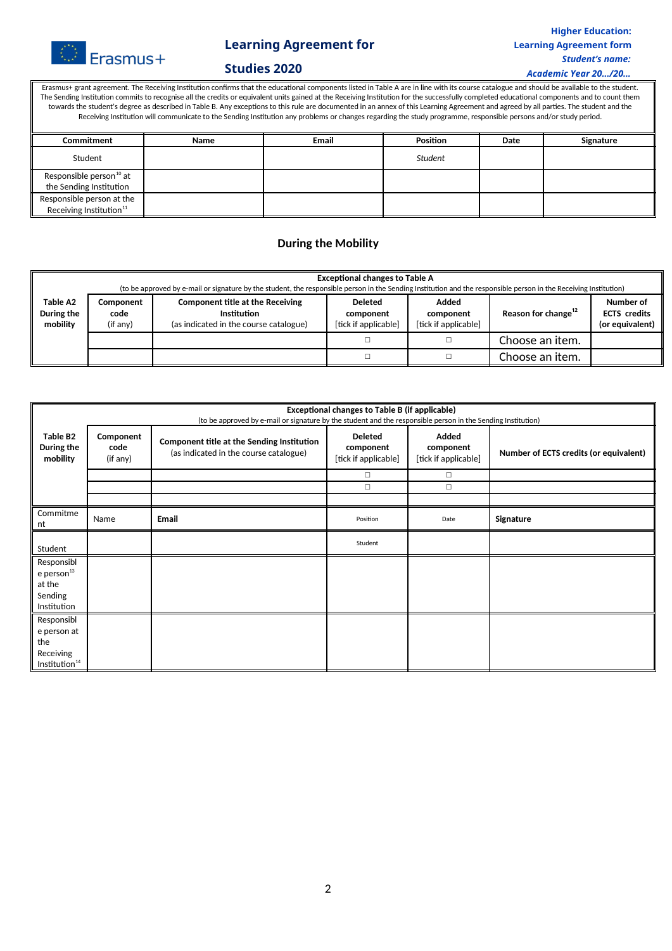

## **Learning Agreement for**

#### **Higher Education: Learning Agreement form** *Student's name:*

#### **Studies 2020**

*Academic Year 20…/20…*

Erasmus+ grant agreement. The Receiving Institution confirms that the educational components listed in Table A are in line with its course catalogue and should be available to the student. The Sending Institution commits to recognise all the credits or equivalent units gained at the Receiving Institution for the successfully completed educational components and to count them towards the student's degree as described in Table B. Any exceptions to this rule are documented in an annex of this Learning Agreement and agreed by all parties. The student and the Receiving Institution will communicate to the Sending Institution any problems or changes regarding the study programme, responsible persons and/or study period.

| Commitment                                                       | Name | Email | Position | Date | Signature |  |  |
|------------------------------------------------------------------|------|-------|----------|------|-----------|--|--|
| Student                                                          |      |       | Student  |      |           |  |  |
| Responsible person <sup>10</sup> at<br>the Sending Institution   |      |       |          |      |           |  |  |
| Responsible person at the<br>Receiving Institution <sup>11</sup> |      |       |          |      |           |  |  |

#### **During the Mobility**

|                                                                                                                                                                         | <b>Exceptional changes to Table A</b><br>(to be approved by e-mail or signature by the student, the responsible person in the Sending Institution and the responsible person in the Receiving Institution) |  |                                                     |                                            |                                 |                                                     |  |  |
|-------------------------------------------------------------------------------------------------------------------------------------------------------------------------|------------------------------------------------------------------------------------------------------------------------------------------------------------------------------------------------------------|--|-----------------------------------------------------|--------------------------------------------|---------------------------------|-----------------------------------------------------|--|--|
| Table A2<br><b>Component title at the Receiving</b><br>Component<br>During the<br>Institution<br>code<br>mobility<br>(as indicated in the course catalogue)<br>(if any) |                                                                                                                                                                                                            |  | <b>Deleted</b><br>component<br>[tick if applicable] | Added<br>component<br>[tick if applicable] | Reason for change <sup>12</sup> | Number of<br><b>ECTS</b> credits<br>(or equivalent) |  |  |
|                                                                                                                                                                         |                                                                                                                                                                                                            |  |                                                     |                                            | Choose an item.                 |                                                     |  |  |
|                                                                                                                                                                         |                                                                                                                                                                                                            |  |                                                     |                                            | Choose an item.                 |                                                     |  |  |

|                                                                            | <b>Exceptional changes to Table B (if applicable)</b><br>(to be approved by e-mail or signature by the student and the responsible person in the Sending Institution) |                                                                                             |                                                     |                                            |                                        |  |  |  |
|----------------------------------------------------------------------------|-----------------------------------------------------------------------------------------------------------------------------------------------------------------------|---------------------------------------------------------------------------------------------|-----------------------------------------------------|--------------------------------------------|----------------------------------------|--|--|--|
| <b>Table B2</b><br>During the<br>mobility                                  | Component<br>code<br>(if any)                                                                                                                                         | <b>Component title at the Sending Institution</b><br>(as indicated in the course catalogue) | <b>Deleted</b><br>component<br>[tick if applicable] | Added<br>component<br>[tick if applicable] | Number of ECTS credits (or equivalent) |  |  |  |
|                                                                            |                                                                                                                                                                       |                                                                                             | $\Box$                                              | $\Box$                                     |                                        |  |  |  |
|                                                                            |                                                                                                                                                                       |                                                                                             | $\Box$                                              | $\Box$                                     |                                        |  |  |  |
|                                                                            |                                                                                                                                                                       |                                                                                             |                                                     |                                            |                                        |  |  |  |
| Commitme<br>nt                                                             | Name                                                                                                                                                                  | Email                                                                                       | Position                                            | Date                                       | Signature                              |  |  |  |
| Student                                                                    |                                                                                                                                                                       |                                                                                             | Student                                             |                                            |                                        |  |  |  |
| Responsibl<br>$e$ person $^{13}$<br>at the<br>Sending<br>Institution       |                                                                                                                                                                       |                                                                                             |                                                     |                                            |                                        |  |  |  |
| Responsibl<br>e person at<br>the<br>Receiving<br>Institution <sup>14</sup> |                                                                                                                                                                       |                                                                                             |                                                     |                                            |                                        |  |  |  |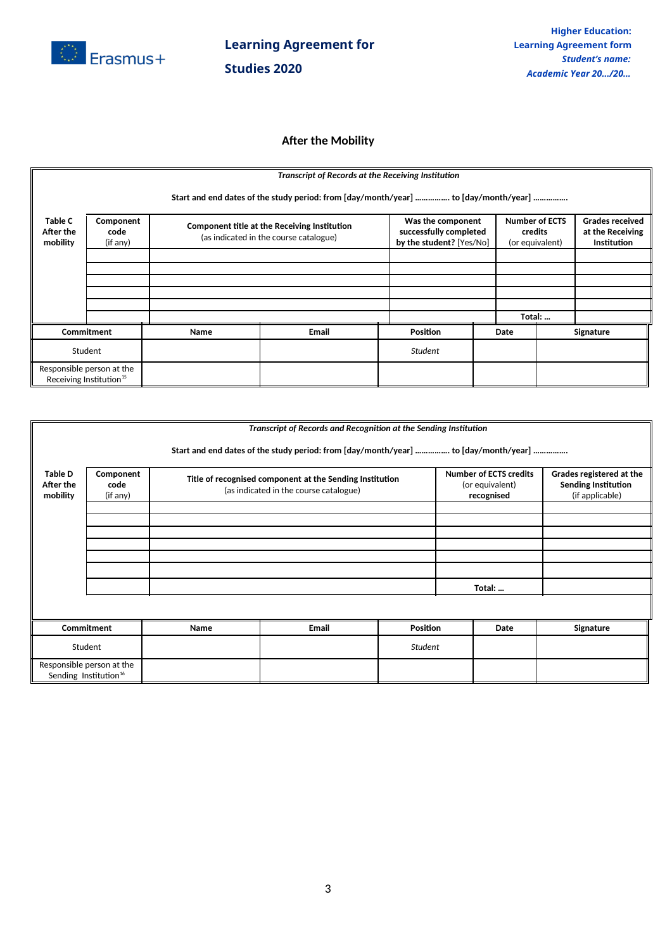

# **Learning Agreement for Studies 2020**

### **After the Mobility**

|                                                                                     | Transcript of Records at the Receiving Institution |                                                                                               |              |                 |                                                                         |      |                                                     |                                                                  |  |
|-------------------------------------------------------------------------------------|----------------------------------------------------|-----------------------------------------------------------------------------------------------|--------------|-----------------|-------------------------------------------------------------------------|------|-----------------------------------------------------|------------------------------------------------------------------|--|
| Start and end dates of the study period: from [day/month/year]  to [day/month/year] |                                                    |                                                                                               |              |                 |                                                                         |      |                                                     |                                                                  |  |
| <b>Table C</b><br>After the<br>mobility                                             | Component<br>code<br>(if any)                      | <b>Component title at the Receiving Institution</b><br>(as indicated in the course catalogue) |              |                 | Was the component<br>successfully completed<br>by the student? [Yes/No] |      | <b>Number of ECTS</b><br>credits<br>(or equivalent) | <b>Grades received</b><br>at the Receiving<br><b>Institution</b> |  |
|                                                                                     |                                                    |                                                                                               |              |                 |                                                                         |      |                                                     |                                                                  |  |
|                                                                                     |                                                    |                                                                                               |              |                 |                                                                         |      |                                                     |                                                                  |  |
|                                                                                     |                                                    |                                                                                               |              |                 |                                                                         |      |                                                     |                                                                  |  |
|                                                                                     |                                                    |                                                                                               |              |                 |                                                                         |      |                                                     |                                                                  |  |
|                                                                                     |                                                    |                                                                                               |              |                 |                                                                         |      |                                                     |                                                                  |  |
|                                                                                     |                                                    |                                                                                               |              |                 |                                                                         |      | Total:                                              |                                                                  |  |
| Commitment                                                                          |                                                    | Name                                                                                          | <b>Email</b> | <b>Position</b> |                                                                         | Date |                                                     | Signature                                                        |  |
| Student                                                                             |                                                    |                                                                                               |              | <b>Student</b>  |                                                                         |      |                                                     |                                                                  |  |
| Responsible person at the<br>Receiving Institution <sup>15</sup>                    |                                                    |                                                                                               |              |                 |                                                                         |      |                                                     |                                                                  |  |

|                                                                | Transcript of Records and Recognition at the Sending Institution                    |      |                                                                                                    |          |  |        |                                                                           |  |  |  |  |
|----------------------------------------------------------------|-------------------------------------------------------------------------------------|------|----------------------------------------------------------------------------------------------------|----------|--|--------|---------------------------------------------------------------------------|--|--|--|--|
|                                                                | Start and end dates of the study period: from [day/month/year]  to [day/month/year] |      |                                                                                                    |          |  |        |                                                                           |  |  |  |  |
| <b>Table D</b><br>After the<br>mobility                        | Component<br>code<br>(if any)                                                       |      | Title of recognised component at the Sending Institution<br>(as indicated in the course catalogue) |          |  |        | Grades registered at the<br><b>Sending Institution</b><br>(if applicable) |  |  |  |  |
|                                                                |                                                                                     |      |                                                                                                    |          |  |        |                                                                           |  |  |  |  |
|                                                                |                                                                                     |      |                                                                                                    |          |  |        |                                                                           |  |  |  |  |
|                                                                |                                                                                     |      |                                                                                                    |          |  |        |                                                                           |  |  |  |  |
|                                                                |                                                                                     |      |                                                                                                    |          |  |        |                                                                           |  |  |  |  |
|                                                                |                                                                                     |      |                                                                                                    |          |  |        |                                                                           |  |  |  |  |
|                                                                |                                                                                     |      |                                                                                                    |          |  | Total: |                                                                           |  |  |  |  |
|                                                                |                                                                                     |      |                                                                                                    |          |  |        |                                                                           |  |  |  |  |
| Commitment                                                     |                                                                                     | Name | <b>Email</b>                                                                                       | Position |  | Date   | Signature                                                                 |  |  |  |  |
| Student                                                        |                                                                                     |      |                                                                                                    | Student  |  |        |                                                                           |  |  |  |  |
| Responsible person at the<br>Sending Institution <sup>16</sup> |                                                                                     |      |                                                                                                    |          |  |        |                                                                           |  |  |  |  |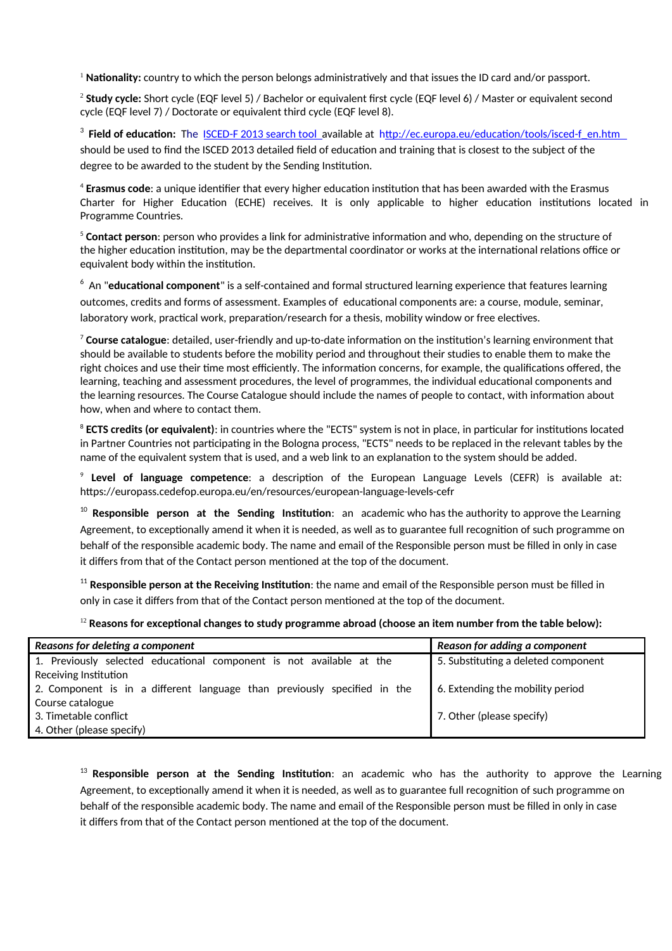<sup>1</sup> Nationality: country to which the person belongs administratively and that issues the ID card and/or passport.

2 **Study cycle:** Short cycle (EQF level 5) / Bachelor or equivalent first cycle (EQF level 6) / Master or equivalent second cycle (EQF level 7) / Doctorate or equivalent third cycle (EQF level 8).

<sup>3</sup> Field of education: The ISCED-F 2013 search tool available at http://ec.europa.eu/education/tools/isced-f\_en.htm should be used to find the ISCED 2013 detailed field of education and training that is closest to the subject of the degree to be awarded to the student by the Sending Institution.

4 **Erasmus code**: a unique identifier that every higher education institution that has been awarded with the Erasmus Charter for Higher Education (ECHE) receives. It is only applicable to higher education institutions located in Programme Countries.

<sup>5</sup> **Contact person**: person who provides a link for administrative information and who, depending on the structure of the higher education institution, may be the departmental coordinator or works at the international relations office or equivalent body within the institution.

 $^{\rm 6}$  An "**educational component**" is a self-contained and formal structured learning experience that features learning outcomes, credits and forms of assessment. Examples of educational components are: a course, module, seminar, laboratory work, practical work, preparation/research for a thesis, mobility window or free electives.

<sup>7</sup> **Course catalogue**: detailed, user-friendly and up-to-date information on the institution's learning environment that should be available to students before the mobility period and throughout their studies to enable them to make the right choices and use their time most efficiently. The information concerns, for example, the qualifications offered, the learning, teaching and assessment procedures, the level of programmes, the individual educational components and the learning resources. The Course Catalogue should include the names of people to contact, with information about how, when and where to contact them.

<sup>8</sup> **ECTS credits (or equivalent)**: in countries where the "ECTS" system is not in place, in particular for institutions located in Partner Countries not participating in the Bologna process, "ECTS" needs to be replaced in the relevant tables by the name of the equivalent system that is used, and a web link to an explanation to the system should be added.

9 **Level of language competence**: a description of the European Language Levels (CEFR) is available at: https://europass.cedefop.europa.eu/en/resources/european-language-levels-cefr

<sup>10</sup> **Responsible person at the Sending Institution**: an academic who has the authority to approve the Learning Agreement, to exceptionally amend it when it is needed, as well as to guarantee full recognition of such programme on behalf of the responsible academic body. The name and email of the Responsible person must be filled in only in case it differs from that of the Contact person mentioned at the top of the document.

<sup>11</sup> Responsible person at the Receiving Institution: the name and email of the Responsible person must be filled in only in case it differs from that of the Contact person mentioned at the top of the document.

<sup>12</sup> **Reasons for exceptional changes to study programme abroad (choose an item number from the table below):**

| Reasons for deleting a component                                         | Reason for adding a component       |  |  |  |  |  |  |
|--------------------------------------------------------------------------|-------------------------------------|--|--|--|--|--|--|
| 1. Previously selected educational component is not available at the     | 5. Substituting a deleted component |  |  |  |  |  |  |
| Receiving Institution                                                    |                                     |  |  |  |  |  |  |
| 2. Component is in a different language than previously specified in the | 6. Extending the mobility period    |  |  |  |  |  |  |
| Course catalogue                                                         |                                     |  |  |  |  |  |  |
| 3. Timetable conflict                                                    | 7. Other (please specify)           |  |  |  |  |  |  |
| 4. Other (please specify)                                                |                                     |  |  |  |  |  |  |

<sup>13</sup> **Responsible person at the Sending Institution**: an academic who has the authority to approve the Learning Agreement, to exceptionally amend it when it is needed, as well as to guarantee full recognition of such programme on behalf of the responsible academic body. The name and email of the Responsible person must be filled in only in case it differs from that of the Contact person mentioned at the top of the document.